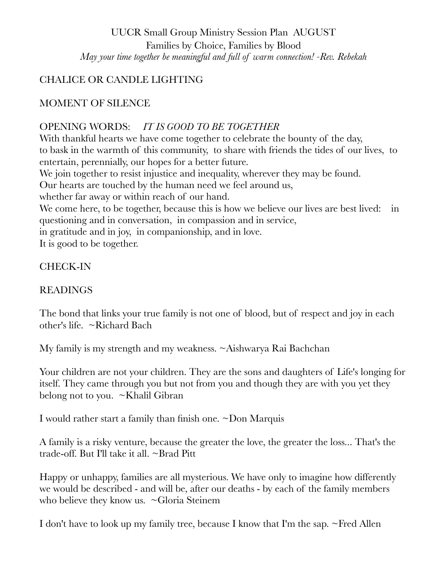UUCR Small Group Ministry Session Plan AUGUST Families by Choice, Families by Blood *May your time together be meaningful and full of warm connection! -Rev. Rebekah* 

### CHALICE OR CANDLE LIGHTING

### MOMENT OF SILENCE

#### OPENING WORDS: *IT IS GOOD TO BE TOGETHER*

With thankful hearts we have come together to celebrate the bounty of the day, to bask in the warmth of this community, to share with friends the tides of our lives, to entertain, perennially, our hopes for a better future.

We join together to resist injustice and inequality, wherever they may be found.

Our hearts are touched by the human need we feel around us,

whether far away or within reach of our hand.

We come here, to be together, because this is how we believe our lives are best lived: in questioning and in conversation, in compassion and in service,

in gratitude and in joy, in companionship, and in love.

It is good to be together.

#### CHECK-IN

### READINGS

The bond that links your true family is not one of blood, but of respect and joy in each other's life. ~Richard Bach

My family is my strength and my weakness. ~Aishwarya Rai Bachchan

Your children are not your children. They are the sons and daughters of Life's longing for itself. They came through you but not from you and though they are with you yet they belong not to you. ~Khalil Gibran

I would rather start a family than finish one. ~Don Marquis

A family is a risky venture, because the greater the love, the greater the loss... That's the trade-off. But I'll take it all. ~Brad Pitt

Happy or unhappy, families are all mysterious. We have only to imagine how differently we would be described - and will be, after our deaths - by each of the family members who believe they know us. ~Gloria Steinem

I don't have to look up my family tree, because I know that I'm the sap. ~Fred Allen